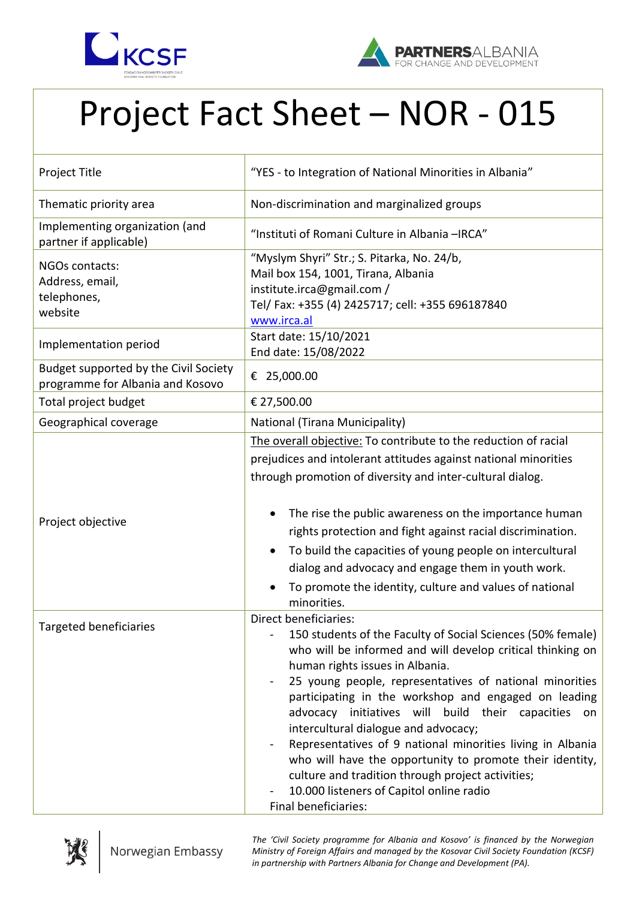



## Project Fact Sheet – NOR - 015

| Project Title                                                             | "YES - to Integration of National Minorities in Albania"                                                                                                                                                                                                                                                                                                                                                                                                                                                                                                                                                                                                      |
|---------------------------------------------------------------------------|---------------------------------------------------------------------------------------------------------------------------------------------------------------------------------------------------------------------------------------------------------------------------------------------------------------------------------------------------------------------------------------------------------------------------------------------------------------------------------------------------------------------------------------------------------------------------------------------------------------------------------------------------------------|
| Thematic priority area                                                    | Non-discrimination and marginalized groups                                                                                                                                                                                                                                                                                                                                                                                                                                                                                                                                                                                                                    |
| Implementing organization (and<br>partner if applicable)                  | "Instituti of Romani Culture in Albania -IRCA"                                                                                                                                                                                                                                                                                                                                                                                                                                                                                                                                                                                                                |
| NGOs contacts:<br>Address, email,<br>telephones,<br>website               | "Myslym Shyri" Str.; S. Pitarka, No. 24/b,<br>Mail box 154, 1001, Tirana, Albania<br>institute.irca@gmail.com /<br>Tel/ Fax: +355 (4) 2425717; cell: +355 696187840<br>www.irca.al                                                                                                                                                                                                                                                                                                                                                                                                                                                                            |
| Implementation period                                                     | Start date: 15/10/2021<br>End date: 15/08/2022                                                                                                                                                                                                                                                                                                                                                                                                                                                                                                                                                                                                                |
| Budget supported by the Civil Society<br>programme for Albania and Kosovo | € 25,000.00                                                                                                                                                                                                                                                                                                                                                                                                                                                                                                                                                                                                                                                   |
| Total project budget                                                      | € 27,500.00                                                                                                                                                                                                                                                                                                                                                                                                                                                                                                                                                                                                                                                   |
| Geographical coverage                                                     | National (Tirana Municipality)                                                                                                                                                                                                                                                                                                                                                                                                                                                                                                                                                                                                                                |
| Project objective                                                         | The overall objective: To contribute to the reduction of racial<br>prejudices and intolerant attitudes against national minorities<br>through promotion of diversity and inter-cultural dialog.<br>The rise the public awareness on the importance human<br>rights protection and fight against racial discrimination.<br>To build the capacities of young people on intercultural<br>$\bullet$<br>dialog and advocacy and engage them in youth work.<br>To promote the identity, culture and values of national<br>minorities.                                                                                                                               |
| Targeted beneficiaries                                                    | Direct beneficiaries:<br>150 students of the Faculty of Social Sciences (50% female)<br>who will be informed and will develop critical thinking on<br>human rights issues in Albania.<br>25 young people, representatives of national minorities<br>participating in the workshop and engaged on leading<br>initiatives will build their capacities on<br>advocacy<br>intercultural dialogue and advocacy;<br>Representatives of 9 national minorities living in Albania<br>who will have the opportunity to promote their identity,<br>culture and tradition through project activities;<br>10.000 listeners of Capitol online radio<br>Final beneficiaries: |



*The 'Civil Society programme for Albania and Kosovo' is financed by the Norwegian Ministry of Foreign Affairs and managed by the Kosovar Civil Society Foundation (KCSF) in partnership with Partners Albania for Change and Development (PA).*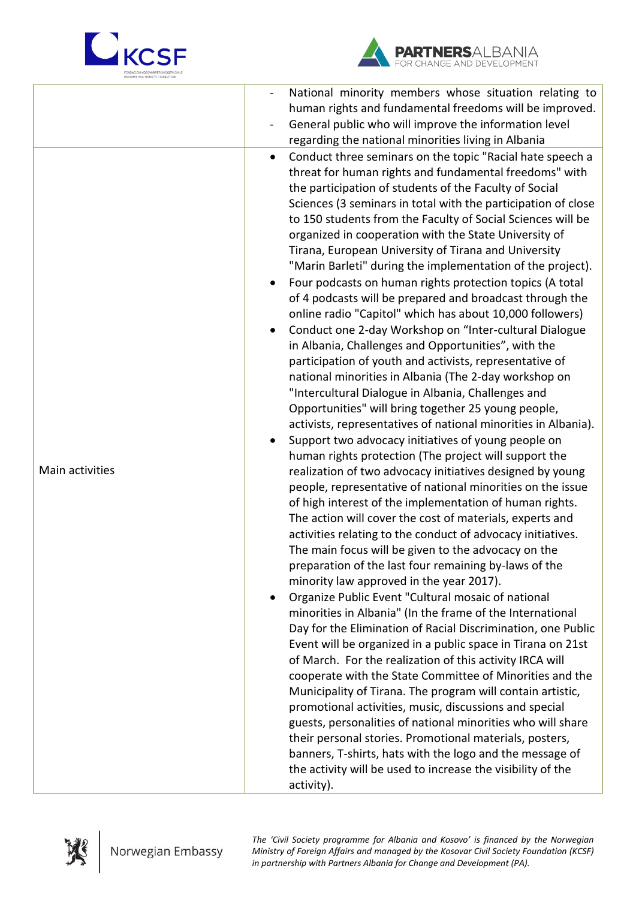



|                 | National minority members whose situation relating to<br>human rights and fundamental freedoms will be improved.<br>General public who will improve the information level<br>regarding the national minorities living in Albania                                                                                                                                                                                                                                                                                                                                                                                                                                                                                                                                                                                                                                                                                                                                                                                                                                                                                                                                                                                                                                                                                                                                                                                                                                                                                                                                                                                                                                                                                                                                                                                                                                                                                                                                                                                                                                                                                                                                                                                                                                                                                                                                                                                                                                                                 |
|-----------------|--------------------------------------------------------------------------------------------------------------------------------------------------------------------------------------------------------------------------------------------------------------------------------------------------------------------------------------------------------------------------------------------------------------------------------------------------------------------------------------------------------------------------------------------------------------------------------------------------------------------------------------------------------------------------------------------------------------------------------------------------------------------------------------------------------------------------------------------------------------------------------------------------------------------------------------------------------------------------------------------------------------------------------------------------------------------------------------------------------------------------------------------------------------------------------------------------------------------------------------------------------------------------------------------------------------------------------------------------------------------------------------------------------------------------------------------------------------------------------------------------------------------------------------------------------------------------------------------------------------------------------------------------------------------------------------------------------------------------------------------------------------------------------------------------------------------------------------------------------------------------------------------------------------------------------------------------------------------------------------------------------------------------------------------------------------------------------------------------------------------------------------------------------------------------------------------------------------------------------------------------------------------------------------------------------------------------------------------------------------------------------------------------------------------------------------------------------------------------------------------------|
| Main activities | Conduct three seminars on the topic "Racial hate speech a<br>$\bullet$<br>threat for human rights and fundamental freedoms" with<br>the participation of students of the Faculty of Social<br>Sciences (3 seminars in total with the participation of close<br>to 150 students from the Faculty of Social Sciences will be<br>organized in cooperation with the State University of<br>Tirana, European University of Tirana and University<br>"Marin Barleti" during the implementation of the project).<br>Four podcasts on human rights protection topics (A total<br>of 4 podcasts will be prepared and broadcast through the<br>online radio "Capitol" which has about 10,000 followers)<br>Conduct one 2-day Workshop on "Inter-cultural Dialogue<br>in Albania, Challenges and Opportunities", with the<br>participation of youth and activists, representative of<br>national minorities in Albania (The 2-day workshop on<br>"Intercultural Dialogue in Albania, Challenges and<br>Opportunities" will bring together 25 young people,<br>activists, representatives of national minorities in Albania).<br>Support two advocacy initiatives of young people on<br>human rights protection (The project will support the<br>realization of two advocacy initiatives designed by young<br>people, representative of national minorities on the issue<br>of high interest of the implementation of human rights.<br>The action will cover the cost of materials, experts and<br>activities relating to the conduct of advocacy initiatives.<br>The main focus will be given to the advocacy on the<br>preparation of the last four remaining by-laws of the<br>minority law approved in the year 2017).<br>Organize Public Event "Cultural mosaic of national<br>$\bullet$<br>minorities in Albania" (In the frame of the International<br>Day for the Elimination of Racial Discrimination, one Public<br>Event will be organized in a public space in Tirana on 21st<br>of March. For the realization of this activity IRCA will<br>cooperate with the State Committee of Minorities and the<br>Municipality of Tirana. The program will contain artistic,<br>promotional activities, music, discussions and special<br>guests, personalities of national minorities who will share<br>their personal stories. Promotional materials, posters,<br>banners, T-shirts, hats with the logo and the message of<br>the activity will be used to increase the visibility of the<br>activity). |



*The 'Civil Society programme for Albania and Kosovo' is financed by the Norwegian Ministry of Foreign Affairs and managed by the Kosovar Civil Society Foundation (KCSF) in partnership with Partners Albania for Change and Development (PA).*